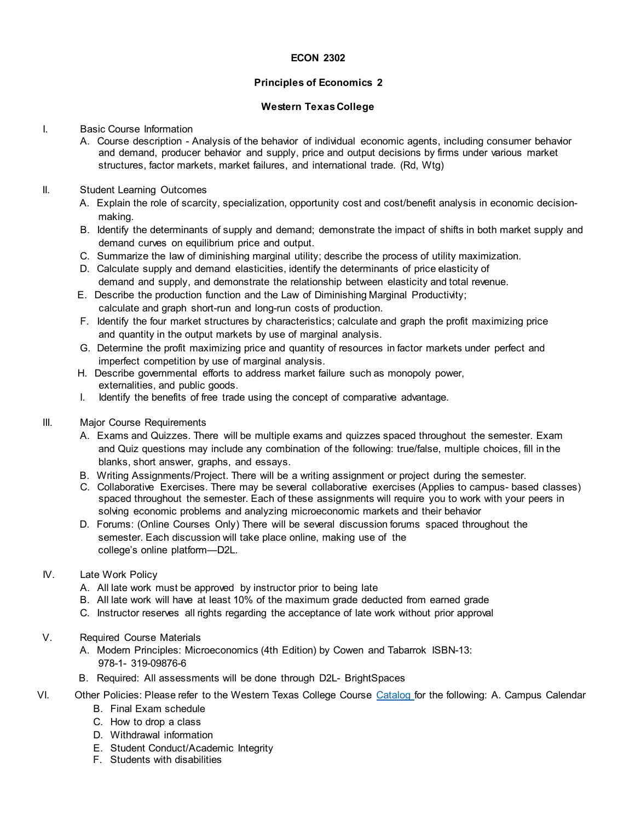### **ECON 2302**

## **Principles of Economics 2**

### **Western TexasCollege**

#### I. Basic Course Information

- A. Course description Analysis of the behavior of individual economic agents, including consumer behavior and demand, producer behavior and supply, price and output decisions by firms under various market structures, factor markets, market failures, and international trade. (Rd, Wtg)
- II. Student Learning Outcomes
	- A. Explain the role of scarcity, specialization, opportunity cost and cost/benefit analysis in economic decisionmaking.
	- B. Identify the determinants of supply and demand; demonstrate the impact of shifts in both market supply and demand curves on equilibrium price and output.
	- C. Summarize the law of diminishing marginal utility; describe the process of utility maximization.
	- D. Calculate supply and demand elasticities, identify the determinants of price elasticity of demand and supply, and demonstrate the relationship between elasticity and total revenue.
	- E. Describe the production function and the Law of Diminishing Marginal Productivity; calculate and graph short-run and long-run costs of production.
	- F. Identify the four market structures by characteristics; calculate and graph the profit maximizing price and quantity in the output markets by use of marginal analysis.
	- G. Determine the profit maximizing price and quantity of resources in factor markets under perfect and imperfect competition by use of marginal analysis.
	- H. Describe governmental efforts to address market failure such as monopoly power, externalities, and public goods.
	- I. Identify the benefits of free trade using the concept of comparative advantage.
- III. Major Course Requirements
	- A. Exams and Quizzes. There will be multiple exams and quizzes spaced throughout the semester. Exam and Quiz questions may include any combination of the following: true/false, multiple choices, fill in the blanks, short answer, graphs, and essays.
	- B. Writing Assignments/Project. There will be a writing assignment or project during the semester.
	- C. Collaborative Exercises. There may be several collaborative exercises (Applies to campus- based classes) spaced throughout the semester. Each of these assignments will require you to work with your peers in solving economic problems and analyzing microeconomic markets and their behavior
	- D. Forums: (Online Courses Only) There will be several discussion forums spaced throughout the semester. Each discussion will take place online, making use of the college's online platform—D2L.
- IV. Late Work Policy
	- A. All late work must be approved by instructor prior to being late
	- B. All late work will have at least 10% of the maximum grade deducted from earned grade
	- C. Instructor reserves all rights regarding the acceptance of late work without prior approval
- V. Required Course Materials
	- A. Modern Principles: Microeconomics (4th Edition) by Cowen and Tabarrok ISBN-13: 978-1- 319-09876-6
	- B. Required: All assessments will be done through D2L- BrightSpaces
- VI. Other Policies: Please refer to the Western Texas College Course [Catalog fo](http://www.wtc.edu/uploads/publications.html)r the following: A. Campus Calendar
	- B. Final Exam schedule
	- C. How to drop a class
	- D. Withdrawal information
	- E. Student Conduct/Academic Integrity
	- F. Students with disabilities